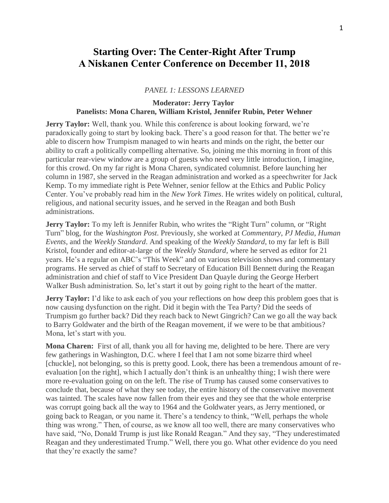## **Starting Over: The Center-Right After Trump A Niskanen Center Conference on December 11, 2018**

## *PANEL 1: LESSONS LEARNED*

## **Moderator: Jerry Taylor Panelists: Mona Charen, William Kristol, Jennifer Rubin, Peter Wehner**

**Jerry Taylor:** Well, thank you. While this conference is about looking forward, we're paradoxically going to start by looking back. There's a good reason for that. The better we're able to discern how Trumpism managed to win hearts and minds on the right, the better our ability to craft a politically compelling alternative. So, joining me this morning in front of this particular rear-view window are a group of guests who need very little introduction, I imagine, for this crowd. On my far right is Mona Charen, syndicated columnist. Before launching her column in 1987, she served in the Reagan administration and worked as a speechwriter for Jack Kemp. To my immediate right is Pete Wehner, senior fellow at the Ethics and Public Policy Center. You've probably read him in the *New York Times*. He writes widely on political, cultural, religious, and national security issues, and he served in the Reagan and both Bush administrations.

**Jerry Taylor:** To my left is Jennifer Rubin, who writes the "Right Turn" column, or "Right Turn" blog, for the *Washington Post*. Previously, she worked at *Commentary*, *PJ Media*, *Human Events*, and the *Weekly Standard*. And speaking of the *Weekly Standard*, to my far left is Bill Kristol, founder and editor-at-large of the *Weekly Standard*, where he served as editor for 21 years. He's a regular on ABC's "This Week" and on various television shows and commentary programs. He served as chief of staff to Secretary of Education Bill Bennett during the Reagan administration and chief of staff to Vice President Dan Quayle during the George Herbert Walker Bush administration. So, let's start it out by going right to the heart of the matter.

**Jerry Taylor:** I'd like to ask each of you your reflections on how deep this problem goes that is now causing dysfunction on the right. Did it begin with the Tea Party? Did the seeds of Trumpism go further back? Did they reach back to Newt Gingrich? Can we go all the way back to Barry Goldwater and the birth of the Reagan movement, if we were to be that ambitious? Mona, let's start with you.

**Mona Charen:** First of all, thank you all for having me, delighted to be here. There are very few gatherings in Washington, D.C. where I feel that I am not some bizarre third wheel [chuckle], not belonging, so this is pretty good. Look, there has been a tremendous amount of reevaluation [on the right], which I actually don't think is an unhealthy thing; I wish there were more re-evaluation going on on the left. The rise of Trump has caused some conservatives to conclude that, because of what they see today, the entire history of the conservative movement was tainted. The scales have now fallen from their eyes and they see that the whole enterprise was corrupt going back all the way to 1964 and the Goldwater years, as Jerry mentioned, or going back to Reagan, or you name it. There's a tendency to think, "Well, perhaps the whole thing was wrong." Then, of course, as we know all too well, there are many conservatives who have said, "No, Donald Trump is just like Ronald Reagan." And they say, "They underestimated Reagan and they underestimated Trump." Well, there you go. What other evidence do you need that they're exactly the same?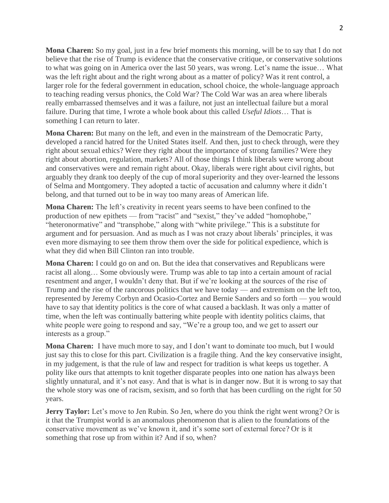**Mona Charen:** So my goal, just in a few brief moments this morning, will be to say that I do not believe that the rise of Trump is evidence that the conservative critique, or conservative solutions to what was going on in America over the last 50 years, was wrong. Let's name the issue… What was the left right about and the right wrong about as a matter of policy? Was it rent control, a larger role for the federal government in education, school choice, the whole-language approach to teaching reading versus phonics, the Cold War? The Cold War was an area where liberals really embarrassed themselves and it was a failure, not just an intellectual failure but a moral failure. During that time, I wrote a whole book about this called *Useful Idiots*… That is something I can return to later.

**Mona Charen:** But many on the left, and even in the mainstream of the Democratic Party, developed a rancid hatred for the United States itself. And then, just to check through, were they right about sexual ethics? Were they right about the importance of strong families? Were they right about abortion, regulation, markets? All of those things I think liberals were wrong about and conservatives were and remain right about. Okay, liberals were right about civil rights, but arguably they drank too deeply of the cup of moral superiority and they over-learned the lessons of Selma and Montgomery. They adopted a tactic of accusation and calumny where it didn't belong, and that turned out to be in way too many areas of American life.

**Mona Charen:** The left's creativity in recent years seems to have been confined to the production of new epithets — from "racist" and "sexist," they've added "homophobe," "heteronormative" and "transphobe," along with "white privilege." This is a substitute for argument and for persuasion. And as much as I was not crazy about liberals' principles, it was even more dismaying to see them throw them over the side for political expedience, which is what they did when Bill Clinton ran into trouble.

**Mona Charen:** I could go on and on. But the idea that conservatives and Republicans were racist all along… Some obviously were. Trump was able to tap into a certain amount of racial resentment and anger, I wouldn't deny that. But if we're looking at the sources of the rise of Trump and the rise of the rancorous politics that we have today — and extremism on the left too, represented by Jeremy Corbyn and Ocasio-Cortez and Bernie Sanders and so forth — you would have to say that identity politics is the core of what caused a backlash. It was only a matter of time, when the left was continually battering white people with identity politics claims, that white people were going to respond and say, "We're a group too, and we get to assert our interests as a group."

**Mona Charen:** I have much more to say, and I don't want to dominate too much, but I would just say this to close for this part. Civilization is a fragile thing. And the key conservative insight, in my judgement, is that the rule of law and respect for tradition is what keeps us together. A polity like ours that attempts to knit together disparate peoples into one nation has always been slightly unnatural, and it's not easy. And that is what is in danger now. But it is wrong to say that the whole story was one of racism, sexism, and so forth that has been curdling on the right for 50 years.

**Jerry Taylor:** Let's move to Jen Rubin. So Jen, where do you think the right went wrong? Or is it that the Trumpist world is an anomalous phenomenon that is alien to the foundations of the conservative movement as we've known it, and it's some sort of external force? Or is it something that rose up from within it? And if so, when?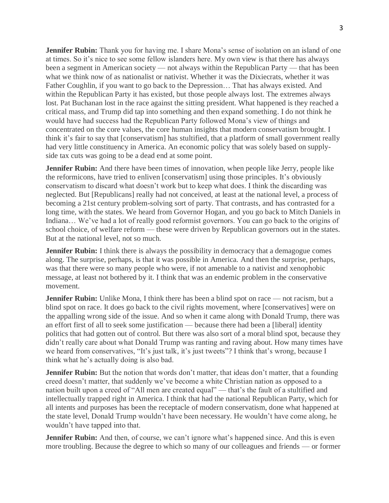**Jennifer Rubin:** Thank you for having me. I share Mona's sense of isolation on an island of one at times. So it's nice to see some fellow islanders here. My own view is that there has always been a segment in American society — not always within the Republican Party — that has been what we think now of as nationalist or nativist. Whether it was the Dixiecrats, whether it was Father Coughlin, if you want to go back to the Depression… That has always existed. And within the Republican Party it has existed, but those people always lost. The extremes always lost. Pat Buchanan lost in the race against the sitting president. What happened is they reached a critical mass, and Trump did tap into something and then expand something. I do not think he would have had success had the Republican Party followed Mona's view of things and concentrated on the core values, the core human insights that modern conservatism brought. I think it's fair to say that [conservatism] has stultified, that a platform of small government really had very little constituency in America. An economic policy that was solely based on supplyside tax cuts was going to be a dead end at some point.

**Jennifer Rubin:** And there have been times of innovation, when people like Jerry, people like the reformicons, have tried to enliven [conservatism] using those principles. It's obviously conservatism to discard what doesn't work but to keep what does. I think the discarding was neglected. But [Republicans] really had not conceived, at least at the national level, a process of becoming a 21st century problem-solving sort of party. That contrasts, and has contrasted for a long time, with the states. We heard from Governor Hogan, and you go back to Mitch Daniels in Indiana… We've had a lot of really good reformist governors. You can go back to the origins of school choice, of welfare reform — these were driven by Republican governors out in the states. But at the national level, not so much.

**Jennifer Rubin:** I think there is always the possibility in democracy that a demagogue comes along. The surprise, perhaps, is that it was possible in America. And then the surprise, perhaps, was that there were so many people who were, if not amenable to a nativist and xenophobic message, at least not bothered by it. I think that was an endemic problem in the conservative movement.

**Jennifer Rubin:** Unlike Mona, I think there has been a blind spot on race — not racism, but a blind spot on race. It does go back to the civil rights movement, where [conservatives] were on the appalling wrong side of the issue. And so when it came along with Donald Trump, there was an effort first of all to seek some justification — because there had been a [liberal] identity politics that had gotten out of control. But there was also sort of a moral blind spot, because they didn't really care about what Donald Trump was ranting and raving about. How many times have we heard from conservatives, "It's just talk, it's just tweets"? I think that's wrong, because I think what he's actually doing is also bad.

**Jennifer Rubin:** But the notion that words don't matter, that ideas don't matter, that a founding creed doesn't matter, that suddenly we've become a white Christian nation as opposed to a nation built upon a creed of "All men are created equal" — that's the fault of a stultified and intellectually trapped right in America. I think that had the national Republican Party, which for all intents and purposes has been the receptacle of modern conservatism, done what happened at the state level, Donald Trump wouldn't have been necessary. He wouldn't have come along, he wouldn't have tapped into that.

**Jennifer Rubin:** And then, of course, we can't ignore what's happened since. And this is even more troubling. Because the degree to which so many of our colleagues and friends — or former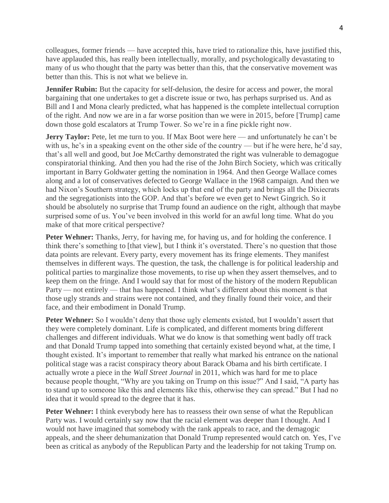colleagues, former friends — have accepted this, have tried to rationalize this, have justified this, have applauded this, has really been intellectually, morally, and psychologically devastating to many of us who thought that the party was better than this, that the conservative movement was better than this. This is not what we believe in.

**Jennifer Rubin:** But the capacity for self-delusion, the desire for access and power, the moral bargaining that one undertakes to get a discrete issue or two, has perhaps surprised us. And as Bill and I and Mona clearly predicted, what has happened is the complete intellectual corruption of the right. And now we are in a far worse position than we were in 2015, before [Trump] came down those gold escalators at Trump Tower. So we're in a fine pickle right now.

**Jerry Taylor:** Pete, let me turn to you. If Max Boot were here — and unfortunately he can't be with us, he's in a speaking event on the other side of the country — but if he were here, he'd say, that's all well and good, but Joe McCarthy demonstrated the right was vulnerable to demagogue conspiratorial thinking. And then you had the rise of the John Birch Society, which was critically important in Barry Goldwater getting the nomination in 1964. And then George Wallace comes along and a lot of conservatives defected to George Wallace in the 1968 campaign. And then we had Nixon's Southern strategy, which locks up that end of the party and brings all the Dixiecrats and the segregationists into the GOP. And that's before we even get to Newt Gingrich. So it should be absolutely no surprise that Trump found an audience on the right, although that maybe surprised some of us. You've been involved in this world for an awful long time. What do you make of that more critical perspective?

Peter Wehner: Thanks, Jerry, for having me, for having us, and for holding the conference. I think there's something to [that view], but I think it's overstated. There's no question that those data points are relevant. Every party, every movement has its fringe elements. They manifest themselves in different ways. The question, the task, the challenge is for political leadership and political parties to marginalize those movements, to rise up when they assert themselves, and to keep them on the fringe. And I would say that for most of the history of the modern Republican Party — not entirely — that has happened. I think what's different about this moment is that those ugly strands and strains were not contained, and they finally found their voice, and their face, and their embodiment in Donald Trump.

**Peter Wehner:** So I wouldn't deny that those ugly elements existed, but I wouldn't assert that they were completely dominant. Life is complicated, and different moments bring different challenges and different individuals. What we do know is that something went badly off track and that Donald Trump tapped into something that certainly existed beyond what, at the time, I thought existed. It's important to remember that really what marked his entrance on the national political stage was a racist conspiracy theory about Barack Obama and his birth certificate. I actually wrote a piece in the *Wall Street Journal* in 2011, which was hard for me to place because people thought, "Why are you taking on Trump on this issue?" And I said, "A party has to stand up to someone like this and elements like this, otherwise they can spread." But I had no idea that it would spread to the degree that it has.

**Peter Wehner:** I think everybody here has to reassess their own sense of what the Republican Party was. I would certainly say now that the racial element was deeper than I thought. And I would not have imagined that somebody with the rank appeals to race, and the demagogic appeals, and the sheer dehumanization that Donald Trump represented would catch on. Yes, I've been as critical as anybody of the Republican Party and the leadership for not taking Trump on.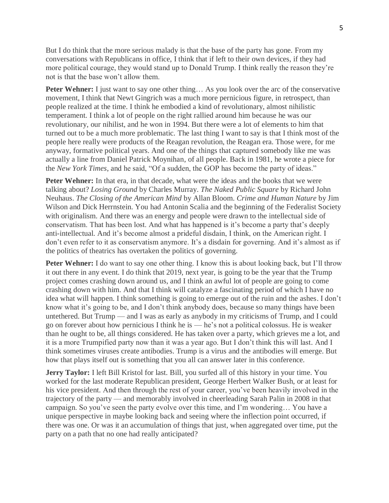But I do think that the more serious malady is that the base of the party has gone. From my conversations with Republicans in office, I think that if left to their own devices, if they had more political courage, they would stand up to Donald Trump. I think really the reason they're not is that the base won't allow them.

**Peter Wehner:** I just want to say one other thing... As you look over the arc of the conservative movement, I think that Newt Gingrich was a much more pernicious figure, in retrospect, than people realized at the time. I think he embodied a kind of revolutionary, almost nihilistic temperament. I think a lot of people on the right rallied around him because he was our revolutionary, our nihilist, and he won in 1994. But there were a lot of elements to him that turned out to be a much more problematic. The last thing I want to say is that I think most of the people here really were products of the Reagan revolution, the Reagan era. Those were, for me anyway, formative political years. And one of the things that captured somebody like me was actually a line from Daniel Patrick Moynihan, of all people. Back in 1981, he wrote a piece for the *New York Times*, and he said, "Of a sudden, the GOP has become the party of ideas."

**Peter Wehner:** In that era, in that decade, what were the ideas and the books that we were talking about? *Losing Ground* by Charles Murray. *The Naked Public Square* by Richard John Neuhaus. *The Closing of the American Mind* by Allan Bloom. *Crime and Human Nature* by Jim Wilson and Dick Herrnstein. You had Antonin Scalia and the beginning of the Federalist Society with originalism. And there was an energy and people were drawn to the intellectual side of conservatism. That has been lost. And what has happened is it's become a party that's deeply anti-intellectual. And it's become almost a prideful disdain, I think, on the American right. I don't even refer to it as conservatism anymore. It's a disdain for governing. And it's almost as if the politics of theatrics has overtaken the politics of governing.

**Peter Wehner:** I do want to say one other thing. I know this is about looking back, but I'll throw it out there in any event. I do think that 2019, next year, is going to be the year that the Trump project comes crashing down around us, and I think an awful lot of people are going to come crashing down with him. And that I think will catalyze a fascinating period of which I have no idea what will happen. I think something is going to emerge out of the ruin and the ashes. I don't know what it's going to be, and I don't think anybody does, because so many things have been untethered. But Trump — and I was as early as anybody in my criticisms of Trump, and I could go on forever about how pernicious I think he is — he's not a political colossus. He is weaker than he ought to be, all things considered. He has taken over a party, which grieves me a lot, and it is a more Trumpified party now than it was a year ago. But I don't think this will last. And I think sometimes viruses create antibodies. Trump is a virus and the antibodies will emerge. But how that plays itself out is something that you all can answer later in this conference.

**Jerry Taylor:** I left Bill Kristol for last. Bill, you surfed all of this history in your time. You worked for the last moderate Republican president, George Herbert Walker Bush, or at least for his vice president. And then through the rest of your career, you've been heavily involved in the trajectory of the party — and memorably involved in cheerleading Sarah Palin in 2008 in that campaign. So you've seen the party evolve over this time, and I'm wondering… You have a unique perspective in maybe looking back and seeing where the inflection point occurred, if there was one. Or was it an accumulation of things that just, when aggregated over time, put the party on a path that no one had really anticipated?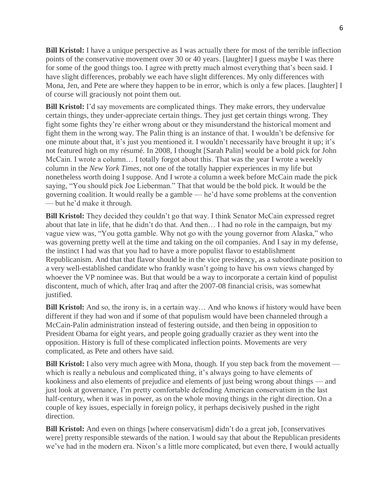**Bill Kristol:** I have a unique perspective as I was actually there for most of the terrible inflection points of the conservative movement over 30 or 40 years. [laughter] I guess maybe I was there for some of the good things too. I agree with pretty much almost everything that's been said. I have slight differences, probably we each have slight differences. My only differences with Mona, Jen, and Pete are where they happen to be in error, which is only a few places. [laughter] I of course will graciously not point them out.

**Bill Kristol:** I'd say movements are complicated things. They make errors, they undervalue certain things, they under-appreciate certain things. They just get certain things wrong. They fight some fights they're either wrong about or they misunderstand the historical moment and fight them in the wrong way. The Palin thing is an instance of that. I wouldn't be defensive for one minute about that, it's just you mentioned it. I wouldn't necessarily have brought it up; it's not featured high on my résumé. In 2008, I thought [Sarah Palin] would be a bold pick for John McCain. I wrote a column… I totally forgot about this. That was the year I wrote a weekly column in the *New York Times*, not one of the totally happier experiences in my life but nonetheless worth doing I suppose. And I wrote a column a week before McCain made the pick saying, "You should pick Joe Lieberman." That that would be the bold pick. It would be the governing coalition. It would really be a gamble — he'd have some problems at the convention — but he'd make it through.

**Bill Kristol:** They decided they couldn't go that way. I think Senator McCain expressed regret about that late in life, that he didn't do that. And then… I had no role in the campaign, but my vague view was, "You gotta gamble. Why not go with the young governor from Alaska," who was governing pretty well at the time and taking on the oil companies. And I say in my defense, the instinct I had was that you had to have a more populist flavor to establishment Republicanism. And that that flavor should be in the vice presidency, as a subordinate position to a very well-established candidate who frankly wasn't going to have his own views changed by whoever the VP nominee was. But that would be a way to incorporate a certain kind of populist discontent, much of which, after Iraq and after the 2007-08 financial crisis, was somewhat justified.

**Bill Kristol:** And so, the irony is, in a certain way... And who knows if history would have been different if they had won and if some of that populism would have been channeled through a McCain-Palin administration instead of festering outside, and then being in opposition to President Obama for eight years, and people going gradually crazier as they went into the opposition. History is full of these complicated inflection points. Movements are very complicated, as Pete and others have said.

**Bill Kristol:** I also very much agree with Mona, though. If you step back from the movement which is really a nebulous and complicated thing, it's always going to have elements of kookiness and also elements of prejudice and elements of just being wrong about things — and just look at governance, I'm pretty comfortable defending American conservatism in the last half-century, when it was in power, as on the whole moving things in the right direction. On a couple of key issues, especially in foreign policy, it perhaps decisively pushed in the right direction.

**Bill Kristol:** And even on things [where conservatism] didn't do a great job, [conservatives] were] pretty responsible stewards of the nation. I would say that about the Republican presidents we've had in the modern era. Nixon's a little more complicated, but even there, I would actually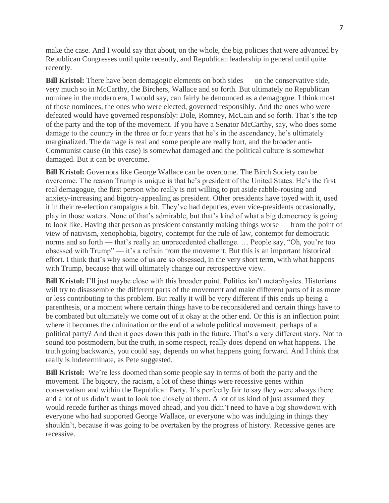make the case. And I would say that about, on the whole, the big policies that were advanced by Republican Congresses until quite recently, and Republican leadership in general until quite recently.

**Bill Kristol:** There have been demagogic elements on both sides — on the conservative side, very much so in McCarthy, the Birchers, Wallace and so forth. But ultimately no Republican nominee in the modern era, I would say, can fairly be denounced as a demagogue. I think most of those nominees, the ones who were elected, governed responsibly. And the ones who were defeated would have governed responsibly: Dole, Romney, McCain and so forth. That's the top of the party and the top of the movement. If you have a Senator McCarthy, say, who does some damage to the country in the three or four years that he's in the ascendancy, he's ultimately marginalized. The damage is real and some people are really hurt, and the broader anti-Communist cause (in this case) is somewhat damaged and the political culture is somewhat damaged. But it can be overcome.

**Bill Kristol:** Governors like George Wallace can be overcome. The Birch Society can be overcome. The reason Trump is unique is that he's president of the United States. He's the first real demagogue, the first person who really is not willing to put aside rabble-rousing and anxiety-increasing and bigotry-appealing as president. Other presidents have toyed with it, used it in their re-election campaigns a bit. They've had deputies, even vice-presidents occasionally, play in those waters. None of that's admirable, but that's kind of what a big democracy is going to look like. Having that person as president constantly making things worse — from the point of view of nativism, xenophobia, bigotry, contempt for the rule of law, contempt for democratic norms and so forth — that's really an unprecedented challenge. … People say, "Oh, you're too obsessed with Trump" — it's a refrain from the movement. But this is an important historical effort. I think that's why some of us are so obsessed, in the very short term, with what happens with Trump, because that will ultimately change our retrospective view.

**Bill Kristol:** I'll just maybe close with this broader point. Politics isn't metaphysics. Historians will try to disassemble the different parts of the movement and make different parts of it as more or less contributing to this problem. But really it will be very different if this ends up being a parenthesis, or a moment where certain things have to be reconsidered and certain things have to be combated but ultimately we come out of it okay at the other end. Or this is an inflection point where it becomes the culmination or the end of a whole political movement, perhaps of a political party? And then it goes down this path in the future. That's a very different story. Not to sound too postmodern, but the truth, in some respect, really does depend on what happens. The truth going backwards, you could say, depends on what happens going forward. And I think that really is indeterminate, as Pete suggested.

**Bill Kristol:** We're less doomed than some people say in terms of both the party and the movement. The bigotry, the racism, a lot of these things were recessive genes within conservatism and within the Republican Party. It's perfectly fair to say they were always there and a lot of us didn't want to look too closely at them. A lot of us kind of just assumed they would recede further as things moved ahead, and you didn't need to have a big showdown with everyone who had supported George Wallace, or everyone who was indulging in things they shouldn't, because it was going to be overtaken by the progress of history. Recessive genes are recessive.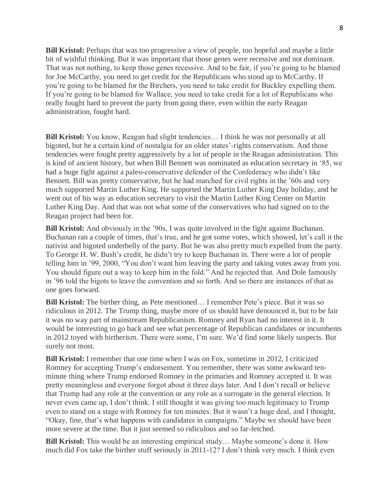**Bill Kristol:** Perhaps that was too progressive a view of people, too hopeful and maybe a little bit of wishful thinking. But it was important that those genes were recessive and not dominant. That was not nothing, to keep those genes recessive. And to be fair, if you're going to be blamed for Joe McCarthy, you need to get credit for the Republicans who stood up to McCarthy. If you're going to be blamed for the Birchers, you need to take credit for Buckley expelling them. If you're going to be blamed for Wallace, you need to take credit for a lot of Republicans who really fought hard to prevent the party from going there, even within the early Reagan administration, fought hard.

**Bill Kristol:** You know, Reagan had slight tendencies... I think he was not personally at all bigoted, but he a certain kind of nostalgia for an older states'-rights conservatism. And those tendencies were fought pretty aggressively by a lot of people in the Reagan administration. This is kind of ancient history, but when Bill Bennett was nominated as education secretary in '85, we had a huge fight against a paleo-conservative defender of the Confederacy who didn't like Bennett. Bill was pretty conservative, but he had marched for civil rights in the '60s and very much supported Martin Luther King. He supported the Martin Luther King Day holiday, and he went out of his way as education secretary to visit the Martin Luther King Center on Martin Luther King Day. And that was not what some of the conservatives who had signed on to the Reagan project had been for.

**Bill Kristol:** And obviously in the '90s, I was quite involved in the fight against Buchanan. Buchanan ran a couple of times, that's true, and he got some votes, which showed, let's call it the nativist and bigoted underbelly of the party. But he was also pretty much expelled from the party. To George H. W. Bush's credit, he didn't try to keep Buchanan in. There were a lot of people telling him in '99, 2000, "You don't want him leaving the party and taking votes away from you. You should figure out a way to keep him in the fold." And he rejected that. And Dole famously in '96 told the bigots to leave the convention and so forth. And so there are instances of that as one goes forward.

**Bill Kristol:** The birther thing, as Pete mentioned… I remember Pete's piece. But it was so ridiculous in 2012. The Trump thing, maybe more of us should have denounced it, but to be fair it was no way part of mainstream Republicanism. Romney and Ryan had no interest in it. It would be interesting to go back and see what percentage of Republican candidates or incumbents in 2012 toyed with birtherism. There were some, I'm sure. We'd find some likely suspects. But surely not most.

**Bill Kristol:** I remember that one time when I was on Fox, sometime in 2012, I criticized Romney for accepting Trump's endorsement. You remember, there was some awkward tenminute thing where Trump endorsed Romney in the primaries and Romney accepted it. It was pretty meaningless and everyone forgot about it three days later. And I don't recall or believe that Trump had any role at the convention or any role as a surrogate in the general election. It never even came up, I don't think. I still thought it was giving too much legitimacy to Trump even to stand on a stage with Romney for ten minutes. But it wasn't a huge deal, and I thought, "Okay, fine, that's what happens with candidates in campaigns." Maybe we should have been more severe at the time. But it just seemed so ridiculous and so far-fetched.

**Bill Kristol:** This would be an interesting empirical study… Maybe someone's done it. How much did Fox take the birther stuff seriously in 2011-12? I don't think very much. I think even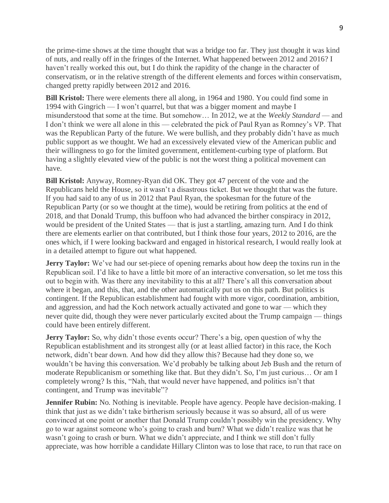the prime-time shows at the time thought that was a bridge too far. They just thought it was kind of nuts, and really off in the fringes of the Internet. What happened between 2012 and 2016? I haven't really worked this out, but I do think the rapidity of the change in the character of conservatism, or in the relative strength of the different elements and forces within conservatism, changed pretty rapidly between 2012 and 2016.

**Bill Kristol:** There were elements there all along, in 1964 and 1980. You could find some in 1994 with Gingrich — I won't quarrel, but that was a bigger moment and maybe I misunderstood that some at the time. But somehow… In 2012, we at the *Weekly Standard* — and I don't think we were all alone in this — celebrated the pick of Paul Ryan as Romney's VP. That was the Republican Party of the future. We were bullish, and they probably didn't have as much public support as we thought. We had an excessively elevated view of the American public and their willingness to go for the limited government, entitlement-curbing type of platform. But having a slightly elevated view of the public is not the worst thing a political movement can have.

**Bill Kristol:** Anyway, Romney-Ryan did OK. They got 47 percent of the vote and the Republicans held the House, so it wasn't a disastrous ticket. But we thought that was the future. If you had said to any of us in 2012 that Paul Ryan, the spokesman for the future of the Republican Party (or so we thought at the time), would be retiring from politics at the end of 2018, and that Donald Trump, this buffoon who had advanced the birther conspiracy in 2012, would be president of the United States — that is just a startling, amazing turn. And I do think there are elements earlier on that contributed, but I think those four years, 2012 to 2016, are the ones which, if I were looking backward and engaged in historical research, I would really look at in a detailed attempt to figure out what happened.

**Jerry Taylor:** We've had our set-piece of opening remarks about how deep the toxins run in the Republican soil. I'd like to have a little bit more of an interactive conversation, so let me toss this out to begin with. Was there any inevitability to this at all? There's all this conversation about where it began, and this, that, and the other automatically put us on this path. But politics is contingent. If the Republican establishment had fought with more vigor, coordination, ambition, and aggression, and had the Koch network actually activated and gone to war — which they never quite did, though they were never particularly excited about the Trump campaign — things could have been entirely different.

**Jerry Taylor:** So, why didn't those events occur? There's a big, open question of why the Republican establishment and its strongest ally (or at least allied factor) in this race, the Koch network, didn't bear down. And how did they allow this? Because had they done so, we wouldn't be having this conversation. We'd probably be talking about Jeb Bush and the return of moderate Republicanism or something like that. But they didn't. So, I'm just curious… Or am I completely wrong? Is this, "Nah, that would never have happened, and politics isn't that contingent, and Trump was inevitable"?

**Jennifer Rubin:** No. Nothing is inevitable. People have agency. People have decision-making. I think that just as we didn't take birtherism seriously because it was so absurd, all of us were convinced at one point or another that Donald Trump couldn't possibly win the presidency. Why go to war against someone who's going to crash and burn? What we didn't realize was that he wasn't going to crash or burn. What we didn't appreciate, and I think we still don't fully appreciate, was how horrible a candidate Hillary Clinton was to lose that race, to run that race on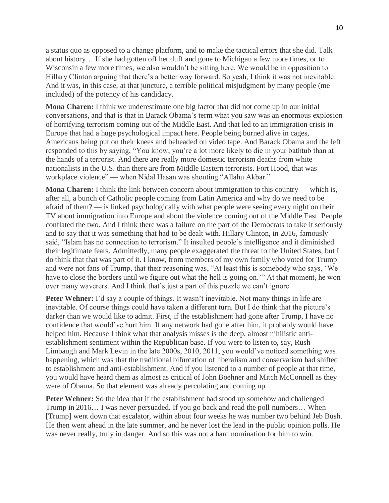a status quo as opposed to a change platform, and to make the tactical errors that she did. Talk about history… If she had gotten off her duff and gone to Michigan a few more times, or to Wisconsin a few more times, we also wouldn't be sitting here. We would be in opposition to Hillary Clinton arguing that there's a better way forward. So yeah, I think it was not inevitable. And it was, in this case, at that juncture, a terrible political misjudgment by many people (me included) of the potency of his candidacy.

**Mona Charen:** I think we underestimate one big factor that did not come up in our initial conversations, and that is that in Barack Obama's term what you saw was an enormous explosion of horrifying terrorism coming out of the Middle East. And that led to an immigration crisis in Europe that had a huge psychological impact here. People being burned alive in cages, Americans being put on their knees and beheaded on video tape. And Barack Obama and the left responded to this by saying, "You know, you're a lot more likely to die in your bathtub than at the hands of a terrorist. And there are really more domestic terrorism deaths from white nationalists in the U.S. than there are from Middle Eastern terrorists. Fort Hood, that was workplace violence" — when Nidal Hasan was shouting "Allahu Akbar."

**Mona Charen:** I think the link between concern about immigration to this country — which is, after all, a bunch of Catholic people coming from Latin America and why do we need to be afraid of them? — is linked psychologically with what people were seeing every night on their TV about immigration into Europe and about the violence coming out of the Middle East. People conflated the two. And I think there was a failure on the part of the Democrats to take it seriously and to say that it was something that had to be dealt with. Hillary Clinton, in 2016, famously said, "Islam has no connection to terrorism." It insulted people's intelligence and it diminished their legitimate fears. Admittedly, many people exaggerated the threat to the United States, but I do think that that was part of it. I know, from members of my own family who voted for Trump and were not fans of Trump, that their reasoning was, "At least this is somebody who says, 'We have to close the borders until we figure out what the hell is going on.'" At that moment, he won over many waverers. And I think that's just a part of this puzzle we can't ignore.

**Peter Wehner:** I'd say a couple of things. It wasn't inevitable. Not many things in life are inevitable. Of course things could have taken a different turn. But I do think that the picture's darker than we would like to admit. First, if the establishment had gone after Trump, I have no confidence that would've hurt him. If any network had gone after him, it probably would have helped him. Because I think what that analysis misses is the deep, almost nihilistic antiestablishment sentiment within the Republican base. If you were to listen to, say, Rush Limbaugh and Mark Levin in the late 2000s, 2010, 2011, you would've noticed something was happening, which was that the traditional bifurcation of liberalism and conservatism had shifted to establishment and anti-establishment. And if you listened to a number of people at that time, you would have heard them as almost as critical of John Boehner and Mitch McConnell as they were of Obama. So that element was already percolating and coming up.

**Peter Wehner:** So the idea that if the establishment had stood up somehow and challenged Trump in 2016… I was never persuaded. If you go back and read the poll numbers… When [Trump] went down that escalator, within about four weeks he was number two behind Jeb Bush. He then went ahead in the late summer, and he never lost the lead in the public opinion polls. He was never really, truly in danger. And so this was not a hard nomination for him to win.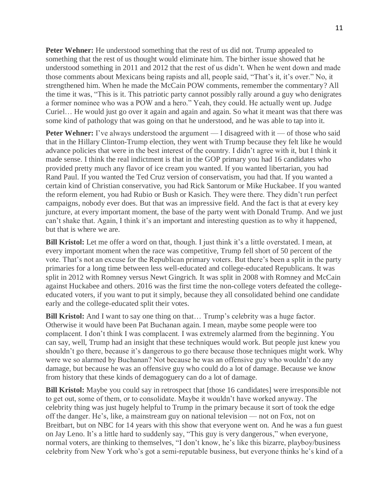**Peter Wehner:** He understood something that the rest of us did not. Trump appealed to something that the rest of us thought would eliminate him. The birther issue showed that he understood something in 2011 and 2012 that the rest of us didn't. When he went down and made those comments about Mexicans being rapists and all, people said, "That's it, it's over." No, it strengthened him. When he made the McCain POW comments, remember the commentary? All the time it was, "This is it. This patriotic party cannot possibly rally around a guy who denigrates a former nominee who was a POW and a hero." Yeah, they could. He actually went up. Judge Curiel… He would just go over it again and again and again. So what it meant was that there was some kind of pathology that was going on that he understood, and he was able to tap into it.

**Peter Wehner:** I've always understood the argument — I disagreed with it — of those who said that in the Hillary Clinton-Trump election, they went with Trump because they felt like he would advance policies that were in the best interest of the country. I didn't agree with it, but I think it made sense. I think the real indictment is that in the GOP primary you had 16 candidates who provided pretty much any flavor of ice cream you wanted. If you wanted libertarian, you had Rand Paul. If you wanted the Ted Cruz version of conservatism, you had that. If you wanted a certain kind of Christian conservative, you had Rick Santorum or Mike Huckabee. If you wanted the reform element, you had Rubio or Bush or Kasich. They were there. They didn't run perfect campaigns, nobody ever does. But that was an impressive field. And the fact is that at every key juncture, at every important moment, the base of the party went with Donald Trump. And we just can't shake that. Again, I think it's an important and interesting question as to why it happened, but that is where we are.

**Bill Kristol:** Let me offer a word on that, though. I just think it's a little overstated. I mean, at every important moment when the race was competitive, Trump fell short of 50 percent of the vote. That's not an excuse for the Republican primary voters. But there's been a split in the party primaries for a long time between less well-educated and college-educated Republicans. It was split in 2012 with Romney versus Newt Gingrich. It was split in 2008 with Romney and McCain against Huckabee and others. 2016 was the first time the non-college voters defeated the collegeeducated voters, if you want to put it simply, because they all consolidated behind one candidate early and the college-educated split their votes.

**Bill Kristol:** And I want to say one thing on that... Trump's celebrity was a huge factor. Otherwise it would have been Pat Buchanan again. I mean, maybe some people were too complacent. I don't think I was complacent. I was extremely alarmed from the beginning. You can say, well, Trump had an insight that these techniques would work. But people just knew you shouldn't go there, because it's dangerous to go there because those techniques might work. Why were we so alarmed by Buchanan? Not because he was an offensive guy who wouldn't do any damage, but because he was an offensive guy who could do a lot of damage. Because we know from history that these kinds of demagoguery can do a lot of damage.

**Bill Kristol:** Maybe you could say in retrospect that [those 16 candidates] were irresponsible not to get out, some of them, or to consolidate. Maybe it wouldn't have worked anyway. The celebrity thing was just hugely helpful to Trump in the primary because it sort of took the edge off the danger. He's, like, a mainstream guy on national television — not on Fox, not on Breitbart, but on NBC for 14 years with this show that everyone went on. And he was a fun guest on Jay Leno. It's a little hard to suddenly say, "This guy is very dangerous," when everyone, normal voters, are thinking to themselves, "I don't know, he's like this bizarre, playboy/business celebrity from New York who's got a semi-reputable business, but everyone thinks he's kind of a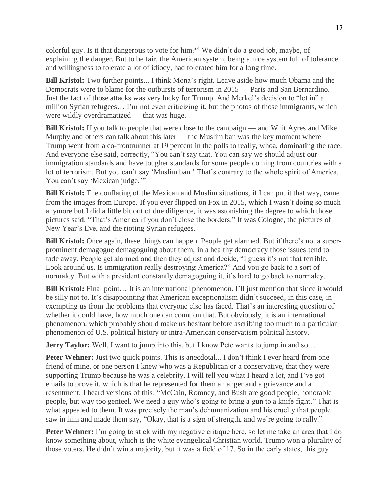colorful guy. Is it that dangerous to vote for him?" We didn't do a good job, maybe, of explaining the danger. But to be fair, the American system, being a nice system full of tolerance and willingness to tolerate a lot of idiocy, had tolerated him for a long time.

**Bill Kristol:** Two further points... I think Mona's right. Leave aside how much Obama and the Democrats were to blame for the outbursts of terrorism in 2015 — Paris and San Bernardino. Just the fact of those attacks was very lucky for Trump. And Merkel's decision to "let in" a million Syrian refugees… I'm not even criticizing it, but the photos of those immigrants, which were wildly overdramatized — that was huge.

**Bill Kristol:** If you talk to people that were close to the campaign — and Whit Ayres and Mike Murphy and others can talk about this later — the Muslim ban was the key moment where Trump went from a co-frontrunner at 19 percent in the polls to really, whoa, dominating the race. And everyone else said, correctly, "You can't say that. You can say we should adjust our immigration standards and have tougher standards for some people coming from countries with a lot of terrorism. But you can't say 'Muslim ban.' That's contrary to the whole spirit of America. You can't say 'Mexican judge."

**Bill Kristol:** The conflating of the Mexican and Muslim situations, if I can put it that way, came from the images from Europe. If you ever flipped on Fox in 2015, which I wasn't doing so much anymore but I did a little bit out of due diligence, it was astonishing the degree to which those pictures said, "That's America if you don't close the borders." It was Cologne, the pictures of New Year's Eve, and the rioting Syrian refugees.

**Bill Kristol:** Once again, these things can happen. People get alarmed. But if there's not a superprominent demagogue demagoguing about them, in a healthy democracy those issues tend to fade away. People get alarmed and then they adjust and decide, "I guess it's not that terrible. Look around us. Is immigration really destroying America?" And you go back to a sort of normalcy. But with a president constantly demagoguing it, it's hard to go back to normalcy.

**Bill Kristol:** Final point... It is an international phenomenon. I'll just mention that since it would be silly not to. It's disappointing that American exceptionalism didn't succeed, in this case, in exempting us from the problems that everyone else has faced. That's an interesting question of whether it could have, how much one can count on that. But obviously, it is an international phenomenon, which probably should make us hesitant before ascribing too much to a particular phenomenon of U.S. political history or intra-American conservatism political history.

**Jerry Taylor:** Well, I want to jump into this, but I know Pete wants to jump in and so...

**Peter Wehner:** Just two quick points. This is anecdotal... I don't think I ever heard from one friend of mine, or one person I knew who was a Republican or a conservative, that they were supporting Trump because he was a celebrity. I will tell you what I heard a lot, and I've got emails to prove it, which is that he represented for them an anger and a grievance and a resentment. I heard versions of this: "McCain, Romney, and Bush are good people, honorable people, but way too genteel. We need a guy who's going to bring a gun to a knife fight." That is what appealed to them. It was precisely the man's dehumanization and his cruelty that people saw in him and made them say, "Okay, that is a sign of strength, and we're going to rally."

**Peter Wehner:** I'm going to stick with my negative critique here, so let me take an area that I do know something about, which is the white evangelical Christian world. Trump won a plurality of those voters. He didn't win a majority, but it was a field of 17. So in the early states, this guy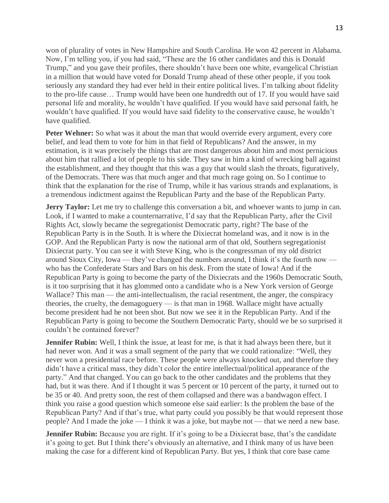won of plurality of votes in New Hampshire and South Carolina. He won 42 percent in Alabama. Now, I'm telling you, if you had said, "These are the 16 other candidates and this is Donald Trump," and you gave their profiles, there shouldn't have been one white, evangelical Christian in a million that would have voted for Donald Trump ahead of these other people, if you took seriously any standard they had ever held in their entire political lives. I'm talking about fidelity to the pro-life cause… Trump would have been one hundredth out of 17. If you would have said personal life and morality, he wouldn't have qualified. If you would have said personal faith, he wouldn't have qualified. If you would have said fidelity to the conservative cause, he wouldn't have qualified.

**Peter Wehner:** So what was it about the man that would override every argument, every core belief, and lead them to vote for him in that field of Republicans? And the answer, in my estimation, is it was precisely the things that are most dangerous about him and most pernicious about him that rallied a lot of people to his side. They saw in him a kind of wrecking ball against the establishment, and they thought that this was a guy that would slash the throats, figuratively, of the Democrats. There was that much anger and that much rage going on. So I continue to think that the explanation for the rise of Trump, while it has various strands and explanations, is a tremendous indictment against the Republican Party and the base of the Republican Party.

**Jerry Taylor:** Let me try to challenge this conversation a bit, and whoever wants to jump in can. Look, if I wanted to make a counternarrative, I'd say that the Republican Party, after the Civil Rights Act, slowly became the segregationist Democratic party, right? The base of the Republican Party is in the South. It is where the Dixiecrat homeland was, and it now is in the GOP. And the Republican Party is now the national arm of that old, Southern segregationist Dixiecrat party. You can see it with Steve King, who is the congressman of my old district around Sioux City, Iowa — they've changed the numbers around, I think it's the fourth now who has the Confederate Stars and Bars on his desk. From the state of Iowa! And if the Republican Party is going to become the party of the Dixiecrats and the 1960s Democratic South, is it too surprising that it has glommed onto a candidate who is a New York version of George Wallace? This man — the anti-intellectualism, the racial resentment, the anger, the conspiracy theories, the cruelty, the demagoguery — is that man in 1968. Wallace might have actually become president had he not been shot. But now we see it in the Republican Party. And if the Republican Party is going to become the Southern Democratic Party, should we be so surprised it couldn't be contained forever?

**Jennifer Rubin:** Well, I think the issue, at least for me, is that it had always been there, but it had never won. And it was a small segment of the party that we could rationalize: "Well, they never won a presidential race before. These people were always knocked out, and therefore they didn't have a critical mass, they didn't color the entire intellectual/political appearance of the party." And that changed. You can go back to the other candidates and the problems that they had, but it was there. And if I thought it was 5 percent or 10 percent of the party, it turned out to be 35 or 40. And pretty soon, the rest of them collapsed and there was a bandwagon effect. I think you raise a good question which someone else said earlier: Is the problem the base of the Republican Party? And if that's true, what party could you possibly be that would represent those people? And I made the joke — I think it was a joke, but maybe not — that we need a new base.

**Jennifer Rubin:** Because you are right. If it's going to be a Dixiecrat base, that's the candidate it's going to get. But I think there's obviously an alternative, and I think many of us have been making the case for a different kind of Republican Party. But yes, I think that core base came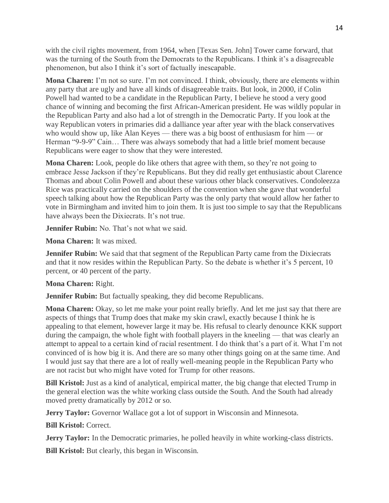with the civil rights movement, from 1964, when [Texas Sen. John] Tower came forward, that was the turning of the South from the Democrats to the Republicans. I think it's a disagreeable phenomenon, but also I think it's sort of factually inescapable.

**Mona Charen:** I'm not so sure. I'm not convinced. I think, obviously, there are elements within any party that are ugly and have all kinds of disagreeable traits. But look, in 2000, if Colin Powell had wanted to be a candidate in the Republican Party, I believe he stood a very good chance of winning and becoming the first African-American president. He was wildly popular in the Republican Party and also had a lot of strength in the Democratic Party. If you look at the way Republican voters in primaries did a dalliance year after year with the black conservatives who would show up, like Alan Keyes — there was a big boost of enthusiasm for him — or Herman "9-9-9" Cain... There was always somebody that had a little brief moment because Republicans were eager to show that they were interested.

**Mona Charen:** Look, people do like others that agree with them, so they're not going to embrace Jesse Jackson if they're Republicans. But they did really get enthusiastic about Clarence Thomas and about Colin Powell and about these various other black conservatives. Condoleezza Rice was practically carried on the shoulders of the convention when she gave that wonderful speech talking about how the Republican Party was the only party that would allow her father to vote in Birmingham and invited him to join them. It is just too simple to say that the Republicans have always been the Dixiecrats. It's not true.

**Jennifer Rubin:** No. That's not what we said.

**Mona Charen:** It was mixed.

**Jennifer Rubin:** We said that that segment of the Republican Party came from the Dixiecrats and that it now resides within the Republican Party. So the debate is whether it's 5 percent, 10 percent, or 40 percent of the party.

**Mona Charen:** Right.

**Jennifer Rubin:** But factually speaking, they did become Republicans.

**Mona Charen:** Okay, so let me make your point really briefly. And let me just say that there are aspects of things that Trump does that make my skin crawl, exactly because I think he is appealing to that element, however large it may be. His refusal to clearly denounce KKK support during the campaign, the whole fight with football players in the kneeling — that was clearly an attempt to appeal to a certain kind of racial resentment. I do think that's a part of it. What I'm not convinced of is how big it is. And there are so many other things going on at the same time. And I would just say that there are a lot of really well-meaning people in the Republican Party who are not racist but who might have voted for Trump for other reasons.

**Bill Kristol:** Just as a kind of analytical, empirical matter, the big change that elected Trump in the general election was the white working class outside the South. And the South had already moved pretty dramatically by 2012 or so.

**Jerry Taylor:** Governor Wallace got a lot of support in Wisconsin and Minnesota.

**Bill Kristol:** Correct.

**Jerry Taylor:** In the Democratic primaries, he polled heavily in white working-class districts.

**Bill Kristol:** But clearly, this began in Wisconsin.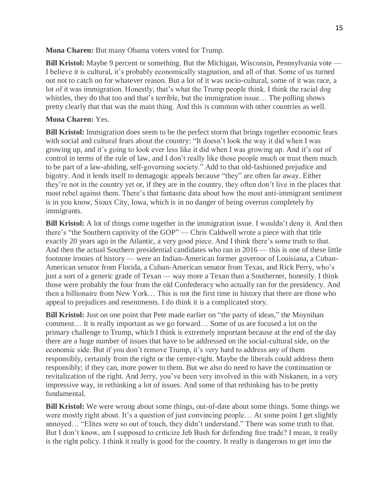**Mona Charen:** But many Obama voters voted for Trump.

**Bill Kristol:** Maybe 9 percent or something. But the Michigan, Wisconsin, Pennsylvania vote — I believe it is cultural, it's probably economically stagnation, and all of that. Some of us turned out not to catch on for whatever reason. But a lot of it was socio-cultural, some of it was race, a lot of it was immigration. Honestly, that's what the Trump people think. I think the racial dog whistles, they do that too and that's terrible, but the immigration issue… The polling shows pretty clearly that that was the main thing. And this is common with other countries as well.

## **Mona Charen:** Yes.

**Bill Kristol:** Immigration does seem to be the perfect storm that brings together economic fears with social and cultural fears about the country: "It doesn't look the way it did when I was growing up, and it's going to look ever less like it did when I was growing up. And it's out of control in terms of the rule of law, and I don't really like those people much or trust them much to be part of a law-abiding, self-governing society." Add to that old-fashioned prejudice and bigotry. And it lends itself to demagogic appeals because "they" are often far away. Either they're not in the country yet or, if they are in the country, they often don't live in the places that most rebel against them. There's that fantastic data about how the most anti-immigrant sentiment is in you know, Sioux City, Iowa, which is in no danger of being overrun completely by immigrants.

**Bill Kristol:** A lot of things come together in the immigration issue. I wouldn't deny it. And then there's "the Southern captivity of the GOP" — Chris Caldwell wrote a piece with that title exactly 20 years ago in the Atlantic, a very good piece. And I think there's some truth to that. And then the actual Southern presidential candidates who ran in 2016 — this is one of these little footnote ironies of history — were an Indian-American former governor of Louisiana, a Cuban-American senator from Florida, a Cuban-American senator from Texas, and Rick Perry, who's just a sort of a generic grade of Texan — way more a Texan than a Southerner, honestly. I think those were probably the four from the old Confederacy who actually ran for the presidency. And then a billionaire from New York… This is not the first time in history that there are those who appeal to prejudices and resentments. I do think it is a complicated story.

**Bill Kristol:** Just on one point that Pete made earlier on "the party of ideas," the Moynihan comment… It is really important as we go forward… Some of us are focused a lot on the primary challenge to Trump, which I think is extremely important because at the end of the day there are a huge number of issues that have to be addressed on the social-cultural side, on the economic side. But if you don't remove Trump, it's very hard to address any of them responsibly, certainly from the right or the center-right. Maybe the liberals could address them responsibly; if they can, more power to them. But we also do need to have the continuation or revitalization of the right. And Jerry, you've been very involved in this with Niskanen, in a very impressive way, in rethinking a lot of issues. And some of that rethinking has to be pretty fundamental.

**Bill Kristol:** We were wrong about some things, out-of-date about some things. Some things we were mostly right about. It's a question of just convincing people… At some point I get slightly annoyed… "Elites were so out of touch, they didn't understand." There was some truth to that. But I don't know, am I supposed to criticize Jeb Bush for defending free trade? I mean, it really is the right policy. I think it really is good for the country. It really is dangerous to get into the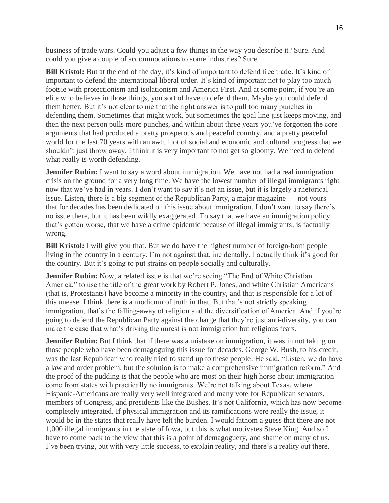business of trade wars. Could you adjust a few things in the way you describe it? Sure. And could you give a couple of accommodations to some industries? Sure.

**Bill Kristol:** But at the end of the day, it's kind of important to defend free trade. It's kind of important to defend the international liberal order. It's kind of important not to play too much footsie with protectionism and isolationism and America First. And at some point, if you're an elite who believes in those things, you sort of have to defend them. Maybe you could defend them better. But it's not clear to me that the right answer is to pull too many punches in defending them. Sometimes that might work, but sometimes the goal line just keeps moving, and then the next person pulls more punches, and within about three years you've forgotten the core arguments that had produced a pretty prosperous and peaceful country, and a pretty peaceful world for the last 70 years with an awful lot of social and economic and cultural progress that we shouldn't just throw away. I think it is very important to not get so gloomy. We need to defend what really is worth defending.

**Jennifer Rubin:** I want to say a word about immigration. We have not had a real immigration crisis on the ground for a very long time. We have the lowest number of illegal immigrants right now that we've had in years. I don't want to say it's not an issue, but it is largely a rhetorical issue. Listen, there is a big segment of the Republican Party, a major magazine — not yours that for decades has been dedicated on this issue about immigration. I don't want to say there's no issue there, but it has been wildly exaggerated. To say that we have an immigration policy that's gotten worse, that we have a crime epidemic because of illegal immigrants, is factually wrong.

**Bill Kristol:** I will give you that. But we do have the highest number of foreign-born people living in the country in a century. I'm not against that, incidentally. I actually think it's good for the country. But it's going to put strains on people socially and culturally.

**Jennifer Rubin:** Now, a related issue is that we're seeing "The End of White Christian America," to use the title of the great work by Robert P. Jones, and white Christian Americans (that is, Protestants) have become a minority in the country, and that is responsible for a lot of this unease. I think there is a modicum of truth in that. But that's not strictly speaking immigration, that's the falling-away of religion and the diversification of America. And if you're going to defend the Republican Party against the charge that they're just anti-diversity, you can make the case that what's driving the unrest is not immigration but religious fears.

**Jennifer Rubin:** But I think that if there was a mistake on immigration, it was in not taking on those people who have been demagoguing this issue for decades. George W. Bush, to his credit, was the last Republican who really tried to stand up to these people. He said, "Listen, we do have a law and order problem, but the solution is to make a comprehensive immigration reform." And the proof of the pudding is that the people who are most on their high horse about immigration come from states with practically no immigrants. We're not talking about Texas, where Hispanic-Americans are really very well integrated and many vote for Republican senators, members of Congress, and presidents like the Bushes. It's not California, which has now become completely integrated. If physical immigration and its ramifications were really the issue, it would be in the states that really have felt the burden. I would fathom a guess that there are not 1,000 illegal immigrants in the state of Iowa, but this is what motivates Steve King. And so I have to come back to the view that this is a point of demagoguery, and shame on many of us. I've been trying, but with very little success, to explain reality, and there's a reality out there.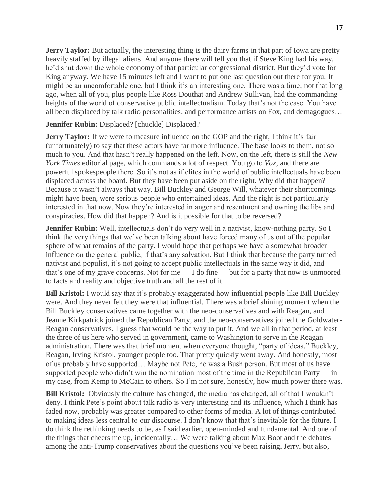**Jerry Taylor:** But actually, the interesting thing is the dairy farms in that part of Iowa are pretty heavily staffed by illegal aliens. And anyone there will tell you that if Steve King had his way, he'd shut down the whole economy of that particular congressional district. But they'd vote for King anyway. We have 15 minutes left and I want to put one last question out there for you. It might be an uncomfortable one, but I think it's an interesting one. There was a time, not that long ago, when all of you, plus people like Ross Douthat and Andrew Sullivan, had the commanding heights of the world of conservative public intellectualism. Today that's not the case. You have all been displaced by talk radio personalities, and performance artists on Fox, and demagogues…

**Jennifer Rubin:** Displaced? [chuckle] Displaced?

**Jerry Taylor:** If we were to measure influence on the GOP and the right, I think it's fair (unfortunately) to say that these actors have far more influence. The base looks to them, not so much to you. And that hasn't really happened on the left. Now, on the left, there is still the *New York Times* editorial page, which commands a lot of respect. You go to *Vox*, and there are powerful spokespeople there. So it's not as if elites in the world of public intellectuals have been displaced across the board. But they have been put aside on the right. Why did that happen? Because it wasn't always that way. Bill Buckley and George Will, whatever their shortcomings might have been, were serious people who entertained ideas. And the right is not particularly interested in that now. Now they're interested in anger and resentment and owning the libs and conspiracies. How did that happen? And is it possible for that to be reversed?

**Jennifer Rubin:** Well, intellectuals don't do very well in a nativist, know-nothing party. So I think the very things that we've been talking about have forced many of us out of the popular sphere of what remains of the party. I would hope that perhaps we have a somewhat broader influence on the general public, if that's any salvation. But I think that because the party turned nativist and populist, it's not going to accept public intellectuals in the same way it did, and that's one of my grave concerns. Not for me — I do fine — but for a party that now is unmoored to facts and reality and objective truth and all the rest of it.

**Bill Kristol:** I would say that it's probably exaggerated how influential people like Bill Buckley were. And they never felt they were that influential. There was a brief shining moment when the Bill Buckley conservatives came together with the neo-conservatives and with Reagan, and Jeanne Kirkpatrick joined the Republican Party, and the neo-conservatives joined the Goldwater-Reagan conservatives. I guess that would be the way to put it. And we all in that period, at least the three of us here who served in government, came to Washington to serve in the Reagan administration. There was that brief moment when everyone thought, "party of ideas." Buckley, Reagan, Irving Kristol, younger people too. That pretty quickly went away. And honestly, most of us probably have supported… Maybe not Pete, he was a Bush person. But most of us have supported people who didn't win the nomination most of the time in the Republican Party — in my case, from Kemp to McCain to others. So I'm not sure, honestly, how much power there was.

**Bill Kristol:** Obviously the culture has changed, the media has changed, all of that I wouldn't deny. I think Pete's point about talk radio is very interesting and its influence, which I think has faded now, probably was greater compared to other forms of media. A lot of things contributed to making ideas less central to our discourse. I don't know that that's inevitable for the future. I do think the rethinking needs to be, as I said earlier, open-minded and fundamental. And one of the things that cheers me up, incidentally… We were talking about Max Boot and the debates among the anti-Trump conservatives about the questions you've been raising, Jerry, but also,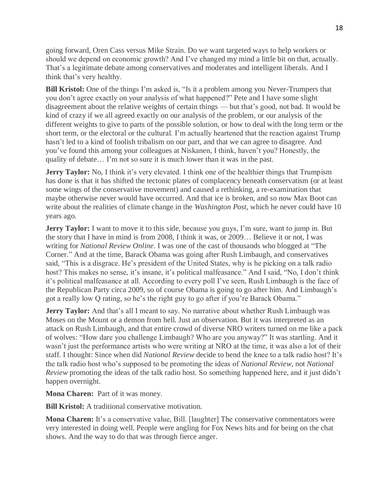going forward, Oren Cass versus Mike Strain. Do we want targeted ways to help workers or should we depend on economic growth? And I've changed my mind a little bit on that, actually. That's a legitimate debate among conservatives and moderates and intelligent liberals. And I think that's very healthy.

**Bill Kristol:** One of the things I'm asked is, "Is it a problem among you Never-Trumpers that you don't agree exactly on your analysis of what happened?" Pete and I have some slight disagreement about the relative weights of certain things — but that's good, not bad. It would be kind of crazy if we all agreed exactly on our analysis of the problem, or our analysis of the different weights to give to parts of the possible solution, or how to deal with the long term or the short term, or the electoral or the cultural. I'm actually heartened that the reaction against Trump hasn't led to a kind of foolish tribalism on our part, and that we can agree to disagree. And you've found this among your colleagues at Niskanen, I think, haven't you? Honestly, the quality of debate… I'm not so sure it is much lower than it was in the past.

**Jerry Taylor:** No, I think it's very elevated. I think one of the healthier things that Trumpism has done is that it has shifted the tectonic plates of complacency beneath conservatism (or at least some wings of the conservative movement) and caused a rethinking, a re-examination that maybe otherwise never would have occurred. And that ice is broken, and so now Max Boot can write about the realities of climate change in the *Washington Post*, which he never could have 10 years ago.

**Jerry Taylor:** I want to move it to this side, because you guys, I'm sure, want to jump in. But the story that I have in mind is from 2008, I think it was, or 2009… Believe it or not, I was writing for *National Review Online*. I was one of the cast of thousands who blogged at "The Corner." And at the time, Barack Obama was going after Rush Limbaugh, and conservatives said, "This is a disgrace. He's president of the United States, why is he picking on a talk radio host? This makes no sense, it's insane, it's political malfeasance." And I said, "No, I don't think it's political malfeasance at all. According to every poll I've seen, Rush Limbaugh is the face of the Republican Party circa 2009, so of course Obama is going to go after him. And Limbaugh's got a really low Q rating, so he's the right guy to go after if you're Barack Obama."

**Jerry Taylor:** And that's all I meant to say. No narrative about whether Rush Limbaugh was Moses on the Mount or a demon from hell. Just an observation. But it was interpreted as an attack on Rush Limbaugh, and that entire crowd of diverse NRO writers turned on me like a pack of wolves: "How dare you challenge Limbaugh? Who are you anyway?" It was startling. And it wasn't just the performance artists who were writing at NRO at the time, it was also a lot of their staff. I thought: Since when did *National Review* decide to bend the knee to a talk radio host? It's the talk radio host who's supposed to be promoting the ideas of *National Review*, not *National Review* promoting the ideas of the talk radio host. So something happened here, and it just didn't happen overnight.

**Mona Charen:** Part of it was money.

**Bill Kristol:** A traditional conservative motivation.

**Mona Charen:** It's a conservative value, Bill. [laughter] The conservative commentators were very interested in doing well. People were angling for Fox News hits and for being on the chat shows. And the way to do that was through fierce anger.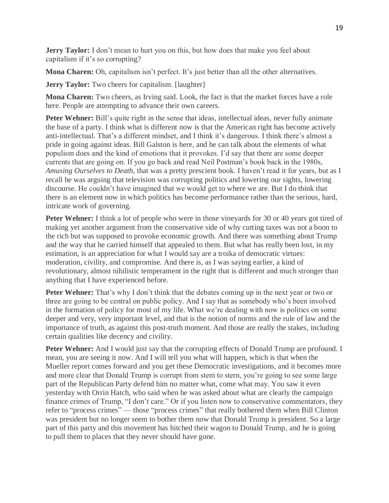**Jerry Taylor:** I don't mean to hurt you on this, but how does that make you feel about capitalism if it's so corrupting?

**Mona Charen:** Oh, capitalism isn't perfect. It's just better than all the other alternatives.

**Jerry Taylor:** Two cheers for capitalism. [laughter]

**Mona Charen:** Two cheers, as Irving said. Look, the fact is that the market forces have a role here. People are attempting to advance their own careers.

**Peter Wehner:** Bill's quite right in the sense that ideas, intellectual ideas, never fully animate the base of a party. I think what is different now is that the American right has become actively anti-intellectual. That's a different mindset, and I think it's dangerous. I think there's almost a pride in going against ideas. Bill Galston is here, and he can talk about the elements of what populism does and the kind of emotions that it provokes. I'd say that there are some deeper currents that are going on. If you go back and read Neil Postman's book back in the 1980s, *Amusing Ourselves to Death*, that was a pretty prescient book. I haven't read it for years, but as I recall he was arguing that television was corrupting politics and lowering our sights, lowering discourse. He couldn't have imagined that we would get to where we are. But I do think that there is an element now in which politics has become performance rather than the serious, hard, intricate work of governing.

**Peter Wehner:** I think a lot of people who were in those vineyards for 30 or 40 years got tired of making yet another argument from the conservative side of why cutting taxes was not a boon to the rich but was supposed to provoke economic growth. And there was something about Trump and the way that he carried himself that appealed to them. But what has really been lost, in my estimation, is an appreciation for what I would say are a troika of democratic virtues: moderation, civility, and compromise. And there is, as I was saying earlier, a kind of revolutionary, almost nihilistic temperament in the right that is different and much stronger than anything that I have experienced before.

**Peter Wehner:** That's why I don't think that the debates coming up in the next year or two or three are going to be central on public policy. And I say that as somebody who's been involved in the formation of policy for most of my life. What we're dealing with now is politics on some deeper and very, very important level, and that is the notion of norms and the rule of law and the importance of truth, as against this post-truth moment. And those are really the stakes, including certain qualities like decency and civility.

Peter Wehner: And I would just say that the corrupting effects of Donald Trump are profound. I mean, you are seeing it now. And I will tell you what will happen, which is that when the Mueller report comes forward and you get these Democratic investigations, and it becomes more and more clear that Donald Trump is corrupt from stem to stern, you're going to see some large part of the Republican Party defend him no matter what, come what may. You saw it even yesterday with Orrin Hatch, who said when he was asked about what are clearly the campaign finance crimes of Trump, "I don't care." Or if you listen now to conservative commentators, they refer to "process crimes" — those "process crimes" that really bothered them when Bill Clinton was president but no longer seem to bother them now that Donald Trump is president. So a large part of this party and this movement has hitched their wagon to Donald Trump, and he is going to pull them to places that they never should have gone.